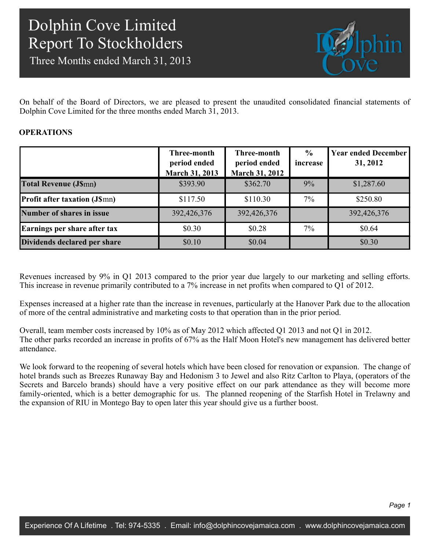Three Months ended March 31, 2013



On behalf of the Board of Directors, we are pleased to present the unaudited consolidated financial statements of Dolphin Cove Limited for the three months ended March 31, 2013.

### **OPERATIONS**

|                                     | Three-month<br>period ended<br><b>March 31, 2013</b> | Three-month<br>period ended<br><b>March 31, 2012</b> | $\frac{0}{0}$<br>increase | <b>Year ended December</b><br>31, 2012 |
|-------------------------------------|------------------------------------------------------|------------------------------------------------------|---------------------------|----------------------------------------|
| <b>Total Revenue (J\$mn)</b>        | \$393.90                                             | \$362.70                                             | 9%                        | \$1,287.60                             |
| <b>Profit after taxation (JSmn)</b> | \$117.50                                             | \$110.30                                             | 7%                        | \$250.80                               |
| Number of shares in issue           | 392,426,376                                          | 392,426,376                                          |                           | 392,426,376                            |
| Earnings per share after tax        | \$0.30                                               | \$0.28                                               | 7%                        | \$0.64                                 |
| Dividends declared per share        | \$0.10                                               | \$0.04                                               |                           | \$0.30                                 |

Revenues increased by 9% in Q1 2013 compared to the prior year due largely to our marketing and selling efforts. This increase in revenue primarily contributed to a 7% increase in net profits when compared to Q1 of 2012.

Expenses increased at a higher rate than the increase in revenues, particularly at the Hanover Park due to the allocation of more of the central administrative and marketing costs to that operation than in the prior period.

Overall, team member costs increased by 10% as of May 2012 which affected Q1 2013 and not Q1 in 2012. The other parks recorded an increase in profits of 67% as the Half Moon Hotel's new management has delivered better attendance.

We look forward to the reopening of several hotels which have been closed for renovation or expansion. The change of hotel brands such as Breezes Runaway Bay and Hedonism 3 to Jewel and also Ritz Carlton to Playa, (operators of the Secrets and Barcelo brands) should have a very positive effect on our park attendance as they will become more family-oriented, which is a better demographic for us. The planned reopening of the Starfish Hotel in Trelawny and the expansion of RIU in Montego Bay to open later this year should give us a further boost.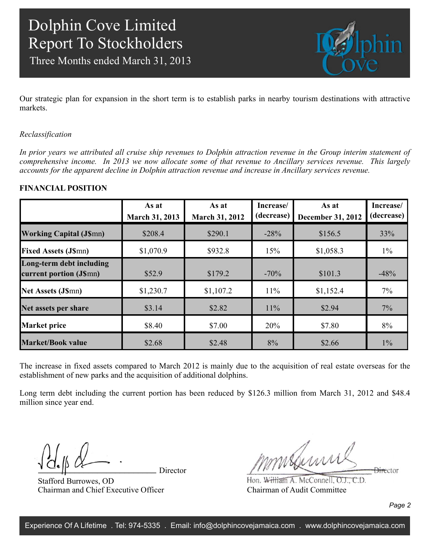Three Months ended March 31, 2013



Our strategic plan for expansion in the short term is to establish parks in nearby tourism destinations with attractive markets.

### *Reclassification*

*In prior years we attributed all cruise ship revenues to Dolphin attraction revenue in the Group interim statement of comprehensive income. In 2013 we now allocate some of that revenue to Ancillary services revenue. This largely accounts for the apparent decline in Dolphin attraction revenue and increase in Ancillary services revenue.*

### **FINANCIAL POSITION**

|                                                     | As at<br><b>March 31, 2013</b> | As at<br><b>March 31, 2012</b> | Increase/<br>(decrease) | As at<br><b>December 31, 2012</b> | Increase/<br>(decrease) |
|-----------------------------------------------------|--------------------------------|--------------------------------|-------------------------|-----------------------------------|-------------------------|
| <b>Working Capital (J\$mn)</b>                      | \$208.4                        | \$290.1                        | $-28%$                  | \$156.5                           | 33%                     |
| <b>Fixed Assets (J\$mn)</b>                         | \$1,070.9                      | \$932.8                        | 15%                     | \$1,058.3                         | $1\%$                   |
| Long-term debt including<br>current portion (J\$mn) | \$52.9                         | \$179.2                        | $-70%$                  | \$101.3                           | $-48%$                  |
| <b>Net Assets (J\$mn)</b>                           | \$1,230.7                      | \$1,107.2                      | 11%                     | \$1,152.4                         | $7\%$                   |
| Net assets per share                                | \$3.14                         | \$2.82                         | 11%                     | \$2.94                            | 7%                      |
| <b>Market price</b>                                 | \$8.40                         | \$7.00                         | 20%                     | \$7.80                            | 8%                      |
| <b>Market/Book value</b>                            | \$2.68                         | \$2.48                         | 8%                      | \$2.66                            | $1\%$                   |

The increase in fixed assets compared to March 2012 is mainly due to the acquisition of real estate overseas for the establishment of new parks and the acquisition of additional dolphins.

Long term debt including the current portion has been reduced by \$126.3 million from March 31, 2012 and \$48.4 million since year end.

Director

Stafford Burrowes, OD Chairman and Chief Executive Officer

mmsburn **Director** 

Hon. William A. McConnell, O.J., C.D. Chairman of Audit Committee

*Page 2*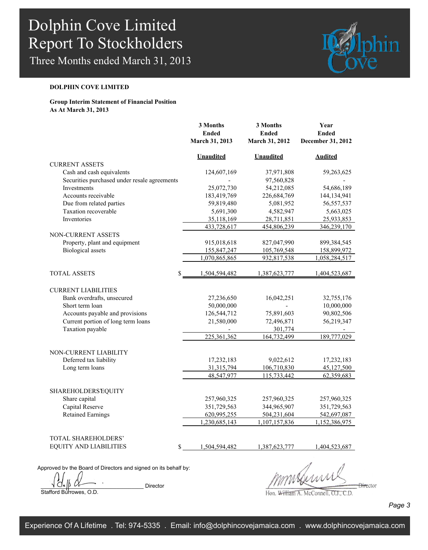Three Months ended March 31, 2013



### **DOLPHIN COVE LIMITED**

### **Group Interim Statement of Financial Position As At March 31, 2013**

|                                                             | 3 Months<br><b>Ended</b><br>March 31, 2013 | 3 Months<br><b>Ended</b><br>March 31, 2012 | Year<br><b>Ended</b><br>December 31, 2012 |
|-------------------------------------------------------------|--------------------------------------------|--------------------------------------------|-------------------------------------------|
|                                                             | <b>Unaudited</b>                           | <b>Unaudited</b>                           | <b>Audited</b>                            |
| <b>CURRENT ASSETS</b>                                       |                                            |                                            |                                           |
| Cash and cash equivalents                                   | 124,607,169                                | 37,971,808                                 | 59,263,625                                |
| Securities purchased under resale agreements<br>Investments | 25,072,730                                 | 97,560,828<br>54,212,085                   | 54,686,189                                |
| Accounts receivable                                         | 183,419,769                                | 226,684,769                                | 144,134,941                               |
| Due from related parties                                    | 59,819,480                                 | 5,081,952                                  | 56, 557, 537                              |
| Taxation recoverable                                        | 5,691,300                                  | 4,582,947                                  | 5,663,025                                 |
| Inventories                                                 | 35,118,169                                 | 28,711,851                                 | 25,933,853                                |
|                                                             | 433,728,617                                | 454,806,239                                | 346,239,170                               |
| <b>NON-CURRENT ASSETS</b>                                   |                                            |                                            |                                           |
| Property, plant and equipment                               | 915,018,618                                | 827,047,990                                | 899, 384, 545                             |
| <b>Biological</b> assets                                    | 155,847,247                                | 105,769,548                                | 158,899,972                               |
|                                                             | 1,070,865,865                              | 932,817,538                                | 1,058,284,517                             |
|                                                             |                                            |                                            |                                           |
| <b>TOTAL ASSETS</b><br>\$                                   | 1,504,594,482                              | 1,387,623,777                              | 1,404,523,687                             |
| <b>CURRENT LIABILITIES</b>                                  |                                            |                                            |                                           |
| Bank overdrafts, unsecured                                  | 27,236,650                                 | 16,042,251                                 | 32,755,176                                |
| Short term loan                                             | 50,000,000                                 |                                            | 10,000,000                                |
| Accounts payable and provisions                             | 126,544,712                                | 75,891,603                                 | 90,802,506                                |
| Current portion of long term loans                          | 21,580,000                                 | 72,496,871                                 | 56,219,347                                |
| Taxation payable                                            |                                            | 301,774                                    |                                           |
|                                                             | 225,361,362                                | 164,732,499                                | 189,777,029                               |
|                                                             |                                            |                                            |                                           |
| <b>NON-CURRENT LIABILITY</b>                                |                                            |                                            |                                           |
| Deferred tax liability                                      | 17,232,183                                 | 9,022,612                                  | 17,232,183                                |
| Long term loans                                             | 31,315,794                                 | 106,710,830                                | 45,127,500                                |
|                                                             | 48,547,977                                 | 115,733,442                                | 62,359,683                                |
| <b>SHAREHOLDERS EQUITY</b>                                  |                                            |                                            |                                           |
| Share capital                                               | 257,960,325                                | 257,960,325                                | 257,960,325                               |
| Capital Reserve                                             | 351,729,563                                | 344,965,907                                | 351,729,563                               |
| <b>Retained Earnings</b>                                    | 620,995,255                                | 504,231,604                                | 542,697,087                               |
|                                                             | 1,230,685,143                              | 1,107,157,836                              | 1,152,386,975                             |
|                                                             |                                            |                                            |                                           |
| <b>TOTAL SHAREHOLDERS'</b>                                  |                                            |                                            |                                           |
| <b>EQUITY AND LIABILITIES</b><br>\$                         | 1,504,594,482                              | 1,387,623,777                              | 1,404,523,687                             |
|                                                             |                                            |                                            |                                           |

Approved by the Board of Directors and signed on its behalf by:

 $\begin{array}{ccc} \sqrt{d_e} & \sqrt{d_e} \end{array}$ Stafford Burrowes, O.D.

 $\frac{1}{2}$ 

Hon. William A. McConnell, O.J., C.D.

*Page 3*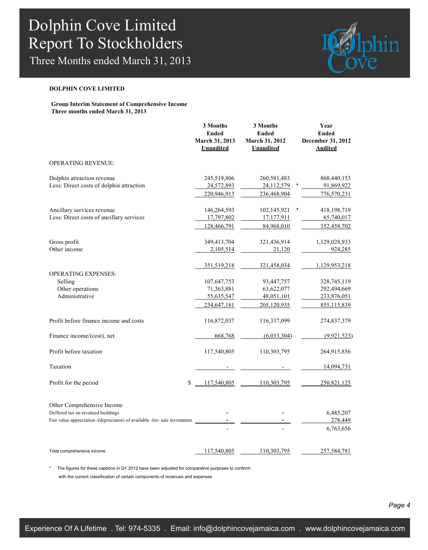Three Months ended March 31, 2013



#### **DOLPHIN COVE LIMITED**

**Group Interim Statement of Comprehensive Income Three months ended March 31, 2013**

|                                                                                                                                               | 3 Months<br><b>Ended</b><br>March 31, 2013<br><b>Unaudited</b> | 3 Months<br><b>Ended</b><br>March 31, 2012<br><b>Unaudited</b> | Year<br><b>Ended</b><br>December 31, 2012<br><b>Audited</b> |
|-----------------------------------------------------------------------------------------------------------------------------------------------|----------------------------------------------------------------|----------------------------------------------------------------|-------------------------------------------------------------|
| <b>OPERATING REVENUE:</b>                                                                                                                     |                                                                |                                                                |                                                             |
| Dolphin attraction revenue<br>Less: Direct costs of dolphin attraction                                                                        | 245,519,806<br>24,572,893                                      | 260,581,483<br>24,112,579                                      | 868,440,153<br>91,869,922                                   |
|                                                                                                                                               | 220,946,913                                                    | 236,468,904                                                    | 776,570,231                                                 |
| Ancillary services revenue<br>Less: Direct costs of ancillary services                                                                        | 146,264,593<br>17,797,802                                      | 102,145,921<br>17,177,911                                      | 4<br>418, 198, 719<br>65,740,017                            |
|                                                                                                                                               | 128,466,791                                                    | 84,968,010                                                     | 352,458,702                                                 |
| Gross profit<br>Other income                                                                                                                  | 349,413,704<br>2,105,514                                       | 321,436,914<br>21,120                                          | 1,129,028,933<br>924,285                                    |
| <b>OPERATING EXPENSES:</b>                                                                                                                    | 351,519,218                                                    | 321,458,034                                                    | 1,129,953,218                                               |
| Selling<br>Other operations                                                                                                                   | 107,647,753<br>71,363,881                                      | 93,447,757<br>63,622,077                                       | 328,745,119<br>292,494,669                                  |
| Administrative                                                                                                                                | 55,635,547<br>234,647,181                                      | 48,051,101<br>205,120,935                                      | 233,876,051<br>855,115,839                                  |
| Profit before finance income and costs                                                                                                        | 116,872,037                                                    | 116,337,099                                                    | 274,837,379                                                 |
| Finance income/(cost), net                                                                                                                    | 668,768                                                        | (6,033,304)                                                    | (9, 921, 523)                                               |
| Profit before taxation                                                                                                                        | 117,540,805                                                    | 110,303,795                                                    | 264,915,856                                                 |
| Taxation                                                                                                                                      |                                                                |                                                                | 14,094,731                                                  |
| Profit for the period<br>\$                                                                                                                   | 117,540,805                                                    | 110,303,795                                                    | 250,821,125                                                 |
| Other Comprehensive Income<br>Deffered tax on revalued buildings<br>Fair value appreciation /(depreciaton) of available -for- sale investment |                                                                |                                                                | 6,485,207<br>278,449                                        |
|                                                                                                                                               |                                                                |                                                                | 6,763,656                                                   |
| Total comprehensive income                                                                                                                    | 117,540,805                                                    | 110,303,795                                                    | 257,584,781                                                 |

The figures for these captions in Q1 2012 have been adjusted for comparative purposes to conform with the current classification of certain components of revenues and expenses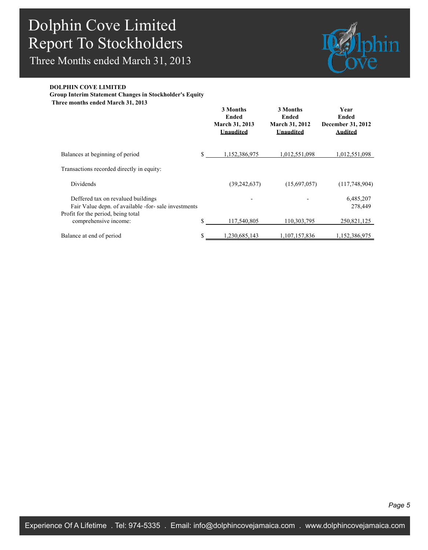Three Months ended March 31, 2013



#### **DOLPHIN COVE LIMITED**

**Group Interim Statement Changes in Stockholder's Equity**

**Three months ended March 31, 2013**

|                                                                                                                                  | 3 Months<br>Ended<br><b>March 31, 2013</b><br>Unaudited | 3 Months<br>Ended<br><b>March 31, 2012</b><br>Unaudited | Year<br>Ended<br>December 31, 2012<br>Audited |
|----------------------------------------------------------------------------------------------------------------------------------|---------------------------------------------------------|---------------------------------------------------------|-----------------------------------------------|
| Balances at beginning of period                                                                                                  | \$<br>1,152,386,975                                     | 1,012,551,098                                           | 1,012,551,098                                 |
| Transactions recorded directly in equity:                                                                                        |                                                         |                                                         |                                               |
| Dividends                                                                                                                        | (39, 242, 637)                                          | (15,697,057)                                            | (117,748,904)                                 |
| Deffered tax on revalued buildings<br>Fair Value depn. of available -for- sale investments<br>Profit for the period, being total |                                                         |                                                         | 6,485,207<br>278,449                          |
| comprehensive income:                                                                                                            | \$<br>117,540,805                                       | 110,303,795                                             | 250,821,125                                   |
| Balance at end of period                                                                                                         | \$<br>.230,685,143                                      | 1,107,157,836                                           | 1,152,386,975                                 |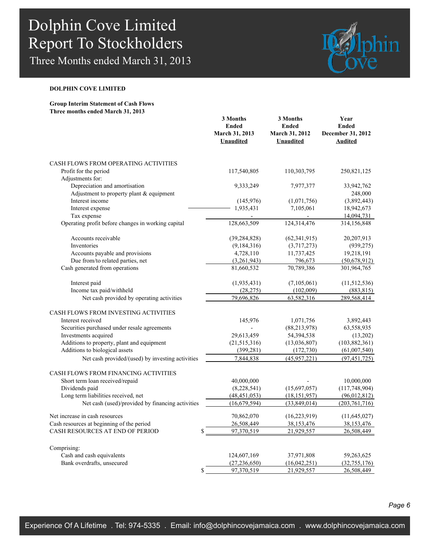Three Months ended March 31, 2013



### **DOLPHIN COVE LIMITED**

#### **Group Interim Statement of Cash Flows Three months ended March 31, 2013**

|                                                    | 3 Months<br><b>Ended</b><br>March 31, 2013<br><b>Unaudited</b> | 3 Months<br><b>Ended</b><br>March 31, 2012<br><b>Unaudited</b> | Year<br><b>Ended</b><br>December 31, 2012<br><b>Audited</b> |
|----------------------------------------------------|----------------------------------------------------------------|----------------------------------------------------------------|-------------------------------------------------------------|
| CASH FLOWS FROM OPERATING ACTIVITIES               |                                                                |                                                                |                                                             |
| Profit for the period                              | 117,540,805                                                    | 110,303,795                                                    | 250,821,125                                                 |
| Adjustments for:                                   |                                                                |                                                                |                                                             |
| Depreciation and amortisation                      | 9,333,249                                                      | 7,977,377                                                      | 33,942,762                                                  |
| Adjustment to property plant & equipment           |                                                                |                                                                | 248,000                                                     |
| Interest income                                    | (145, 976)                                                     | (1,071,756)                                                    | (3,892,443)                                                 |
| Interest expense<br>Tax expense                    | 1,935,431                                                      | 7,105,061<br>$\overline{a}$                                    | 18,942,673<br>14,094,731                                    |
| Operating profit before changes in working capital | 128,663,509                                                    | 124,314,476                                                    | 314,156,848                                                 |
| Accounts receivable                                | (39, 284, 828)                                                 | (62, 341, 915)                                                 | 20,207,913                                                  |
| Inventories                                        | (9,184,316)                                                    | (3,717,273)                                                    | (939, 275)                                                  |
| Accounts payable and provisions                    | 4,728,110                                                      | 11,737,425                                                     | 19,218,191                                                  |
| Due from/to related parties, net                   | (3,261,943)                                                    | 796,673                                                        | (50,678,912)                                                |
| Cash generated from operations                     | 81,660,532                                                     | 70,789,386                                                     | 301,964,765                                                 |
| Interest paid                                      | (1,935,431)                                                    | (7,105,061)                                                    | (11, 512, 536)                                              |
| Income tax paid/withheld                           | (28, 275)                                                      | (102,009)                                                      | (883, 815)                                                  |
| Net cash provided by operating activities          | 79,696,826                                                     | 63,582,316                                                     | 289,568,414                                                 |
| CASH FLOWS FROM INVESTING ACTIVITIES               |                                                                |                                                                |                                                             |
| Interest received                                  | 145,976                                                        | 1,071,756                                                      | 3,892,443                                                   |
| Securities purchased under resale agreements       |                                                                | (88, 213, 978)                                                 | 63,558,935                                                  |
| Investments acquired                               | 29,613,459                                                     | 54,394,538                                                     | (13,202)                                                    |
| Additions to property, plant and equipment         | (21, 515, 316)                                                 | (13,036,807)                                                   | (103, 882, 361)                                             |
| Additions to biological assets                     | (399, 281)                                                     | (172, 730)                                                     | (61,007,540)                                                |
| Net cash provided/(used) by investing activities   | 7,844,838                                                      | (45, 957, 221)                                                 | (97, 451, 725)                                              |
| CASH FLOWS FROM FINANCING ACTIVITIES               |                                                                |                                                                |                                                             |
| Short term loan received/repaid                    | 40,000,000                                                     |                                                                | 10,000,000                                                  |
| Dividends paid                                     | (8,228,541)                                                    | (15,697,057)                                                   | (117, 748, 904)                                             |
| Long term liabilities received, net                | (48, 451, 053)                                                 | (18, 151, 957)                                                 | (96,012,812)                                                |
| Net cash (used)/provided by financing activities   | (16,679,594)                                                   | (33, 849, 014)                                                 | (203, 761, 716)                                             |
| Net increase in cash resources                     | 70,862,070                                                     | (16, 223, 919)                                                 | (11, 645, 027)                                              |
| Cash resources at beginning of the period          | 26,508,449                                                     | 38,153,476                                                     | 38,153,476                                                  |
| CASH RESOURCES AT END OF PERIOD<br>\$              | 97,370,519                                                     | 21,929,557                                                     | 26,508,449                                                  |
| Comprising:                                        |                                                                |                                                                |                                                             |
| Cash and cash equivalents                          | 124,607,169                                                    | 37,971,808                                                     | 59,263,625                                                  |
| Bank overdrafts, unsecured                         | (27, 236, 650)                                                 | (16,042,251)                                                   | (32, 755, 176)                                              |
| \$                                                 | 97,370,519                                                     | 21,929,557                                                     | 26,508,449                                                  |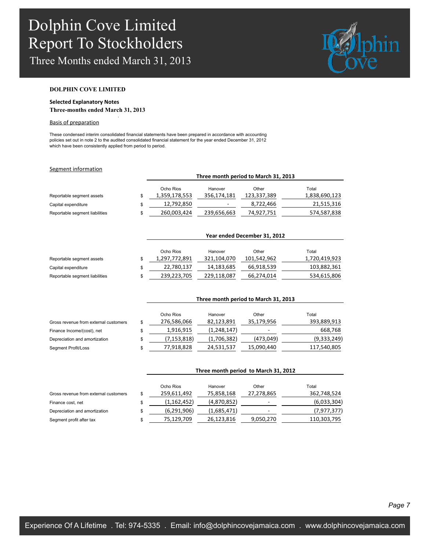Three Months ended March 31, 2013

.



#### **DOLPHIN COVE LIMITED**

#### **Selected Explanatory Notes Three-months ended March 31, 2013**

#### Basis of preparation

These condensed interim consolidated financial statements have been prepared in accordance with accounting policies set out in note 2 to the audited consolidated financial statement for the year ended December 31, 2012 which have been consistently applied from period to period.

#### Segment information

|                                | Three month period to March 31, 2013 |                          |             |               |  |
|--------------------------------|--------------------------------------|--------------------------|-------------|---------------|--|
|                                | Ocho Rios                            | Hanover                  | Other       | Total         |  |
| Reportable segment assets      | 1,359,178,553                        | 356.174.181              | 123,337,389 | 1,838,690,123 |  |
| Capital expenditure            | 12,792,850                           | $\overline{\phantom{a}}$ | 8,722,466   | 21,515,316    |  |
| Reportable segment liabilities | 260,003,424                          | 239,656,663              | 74,927,751  | 574,587,838   |  |
|                                |                                      |                          |             |               |  |

|                                |   | Year ended December 31, 2012 |             |             |               |  |  |
|--------------------------------|---|------------------------------|-------------|-------------|---------------|--|--|
|                                |   | Ocho Rios                    | Hanover     | Other       | Total         |  |  |
| Reportable segment assets      |   | 1,297,772,891                | 321,104,070 | 101,542,962 | 1,720,419,923 |  |  |
| Capital expenditure            |   | 22,780,137                   | 14,183,685  | 66,918,539  | 103,882,361   |  |  |
| Reportable segment liabilities | S | 239,223,705                  | 229,118,087 | 66,274,014  | 534,615,806   |  |  |

|                                       |    | Three month period to March 31, 2013 |             |            |             |  |
|---------------------------------------|----|--------------------------------------|-------------|------------|-------------|--|
|                                       |    |                                      |             |            |             |  |
|                                       |    | Ocho Rios                            | Hanover     | Other      | Total       |  |
| Gross revenue from external customers | \$ | 276,586,066                          | 82.123.891  | 35,179,956 | 393,889,913 |  |
| Finance Income/(cost), net            |    | 1.916.915                            | (1,248,147) | ۰          | 668,768     |  |
| Depreciation and amortization         | \$ | (7, 153, 818)                        | (1,706,382) | (473,049)  | (9,333,249) |  |
| Segment Profit/Loss                   | S  | 77,918,828                           | 24,531,537  | 15,090,440 | 117,540,805 |  |

|                                       |    | Three month period to March 31, 2012 |             |            |             |  |  |
|---------------------------------------|----|--------------------------------------|-------------|------------|-------------|--|--|
|                                       |    | Ocho Rios                            | Hanover     | Other      | Total       |  |  |
| Gross revenue from external customers | S  | 259,611,492                          | 75,858,168  | 27,278,865 | 362,748,524 |  |  |
| Finance cost, net                     | S  | (1, 162, 452)                        | (4,870,852) | ۰          | (6,033,304) |  |  |
| Depreciation and amortization         | \$ | (6,291,906)                          | (1,685,471) |            | (7,977,377) |  |  |
| Segment profit after tax              | \$ | 75,129,709                           | 26,123,816  | 9,050,270  | 110,303,795 |  |  |